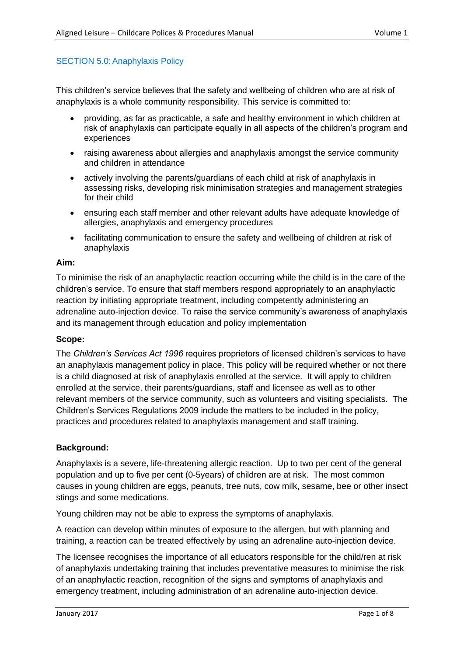### SECTION 5.0: Anaphylaxis Policy

This children's service believes that the safety and wellbeing of children who are at risk of anaphylaxis is a whole community responsibility. This service is committed to:

- providing, as far as practicable, a safe and healthy environment in which children at risk of anaphylaxis can participate equally in all aspects of the children's program and experiences
- raising awareness about allergies and anaphylaxis amongst the service community and children in attendance
- actively involving the parents/guardians of each child at risk of anaphylaxis in assessing risks, developing risk minimisation strategies and management strategies for their child
- ensuring each staff member and other relevant adults have adequate knowledge of allergies, anaphylaxis and emergency procedures
- facilitating communication to ensure the safety and wellbeing of children at risk of anaphylaxis

#### **Aim:**

To minimise the risk of an anaphylactic reaction occurring while the child is in the care of the children's service. To ensure that staff members respond appropriately to an anaphylactic reaction by initiating appropriate treatment, including competently administering an adrenaline auto-injection device. To raise the service community's awareness of anaphylaxis and its management through education and policy implementation

### **Scope:**

The *Children's Services Act 1996* requires proprietors of licensed children's services to have an anaphylaxis management policy in place. This policy will be required whether or not there is a child diagnosed at risk of anaphylaxis enrolled at the service. It will apply to children enrolled at the service, their parents/guardians, staff and licensee as well as to other relevant members of the service community, such as volunteers and visiting specialists. The Children's Services Regulations 2009 include the matters to be included in the policy, practices and procedures related to anaphylaxis management and staff training.

### **Background:**

Anaphylaxis is a severe, life-threatening allergic reaction. Up to two per cent of the general population and up to five per cent (0-5years) of children are at risk. The most common causes in young children are eggs, peanuts, tree nuts, cow milk, sesame, bee or other insect stings and some medications.

Young children may not be able to express the symptoms of anaphylaxis.

A reaction can develop within minutes of exposure to the allergen, but with planning and training, a reaction can be treated effectively by using an adrenaline auto-injection device.

The licensee recognises the importance of all educators responsible for the child/ren at risk of anaphylaxis undertaking training that includes preventative measures to minimise the risk of an anaphylactic reaction, recognition of the signs and symptoms of anaphylaxis and emergency treatment, including administration of an adrenaline auto-injection device.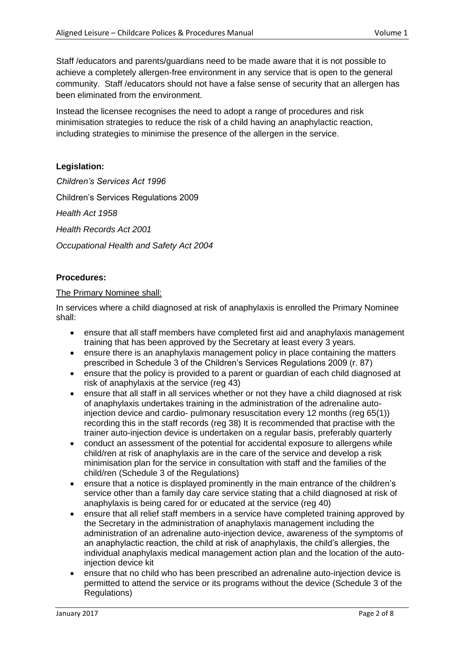Staff /educators and parents/guardians need to be made aware that it is not possible to achieve a completely allergen-free environment in any service that is open to the general community. Staff /educators should not have a false sense of security that an allergen has been eliminated from the environment.

Instead the licensee recognises the need to adopt a range of procedures and risk minimisation strategies to reduce the risk of a child having an anaphylactic reaction, including strategies to minimise the presence of the allergen in the service.

# **Legislation:**

*Children's Services Act 1996*  Children's Services Regulations 2009 *Health Act 1958 Health Records Act 2001 Occupational Health and Safety Act 2004*

## **Procedures:**

### The Primary Nominee shall:

In services where a child diagnosed at risk of anaphylaxis is enrolled the Primary Nominee shall:

- ensure that all staff members have completed first aid and anaphylaxis management training that has been approved by the Secretary at least every 3 years.
- ensure there is an anaphylaxis management policy in place containing the matters prescribed in Schedule 3 of the Children's Services Regulations 2009 (r. 87)
- ensure that the policy is provided to a parent or guardian of each child diagnosed at risk of anaphylaxis at the service (reg 43)
- ensure that all staff in all services whether or not they have a child diagnosed at risk of anaphylaxis undertakes training in the administration of the adrenaline autoinjection device and cardio- pulmonary resuscitation every 12 months (reg 65(1)) recording this in the staff records (reg 38) It is recommended that practise with the trainer auto-injection device is undertaken on a regular basis, preferably quarterly
- conduct an assessment of the potential for accidental exposure to allergens while child/ren at risk of anaphylaxis are in the care of the service and develop a risk minimisation plan for the service in consultation with staff and the families of the child/ren (Schedule 3 of the Regulations)
- ensure that a notice is displayed prominently in the main entrance of the children's service other than a family day care service stating that a child diagnosed at risk of anaphylaxis is being cared for or educated at the service (reg 40)
- ensure that all relief staff members in a service have completed training approved by the Secretary in the administration of anaphylaxis management including the administration of an adrenaline auto-injection device, awareness of the symptoms of an anaphylactic reaction, the child at risk of anaphylaxis, the child's allergies, the individual anaphylaxis medical management action plan and the location of the autoinjection device kit
- ensure that no child who has been prescribed an adrenaline auto-injection device is permitted to attend the service or its programs without the device (Schedule 3 of the Regulations)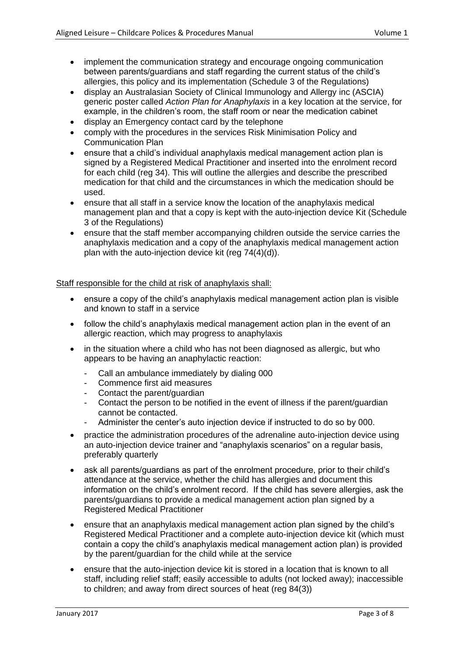- implement the communication strategy and encourage ongoing communication between parents/guardians and staff regarding the current status of the child's allergies, this policy and its implementation (Schedule 3 of the Regulations)
- display an Australasian Society of Clinical Immunology and Allergy inc (ASCIA) generic poster called *Action Plan for Anaphylaxis* in a key location at the service, for example, in the children's room, the staff room or near the medication cabinet
- display an Emergency contact card by the telephone
- comply with the procedures in the services Risk Minimisation Policy and Communication Plan
- ensure that a child's individual anaphylaxis medical management action plan is signed by a Registered Medical Practitioner and inserted into the enrolment record for each child (reg 34). This will outline the allergies and describe the prescribed medication for that child and the circumstances in which the medication should be used.
- ensure that all staff in a service know the location of the anaphylaxis medical management plan and that a copy is kept with the auto-injection device Kit (Schedule 3 of the Regulations)
- ensure that the staff member accompanying children outside the service carries the anaphylaxis medication and a copy of the anaphylaxis medical management action plan with the auto-injection device kit (reg 74(4)(d)).

### Staff responsible for the child at risk of anaphylaxis shall:

- ensure a copy of the child's anaphylaxis medical management action plan is visible and known to staff in a service
- follow the child's anaphylaxis medical management action plan in the event of an allergic reaction, which may progress to anaphylaxis
- in the situation where a child who has not been diagnosed as allergic, but who appears to be having an anaphylactic reaction:
	- Call an ambulance immediately by dialing 000
	- Commence first aid measures
	- Contact the parent/guardian
	- Contact the person to be notified in the event of illness if the parent/guardian cannot be contacted.
	- Administer the center's auto injection device if instructed to do so by 000.
- practice the administration procedures of the adrenaline auto-injection device using an auto-injection device trainer and "anaphylaxis scenarios" on a regular basis, preferably quarterly
- ask all parents/guardians as part of the enrolment procedure, prior to their child's attendance at the service, whether the child has allergies and document this information on the child's enrolment record. If the child has severe allergies, ask the parents/guardians to provide a medical management action plan signed by a Registered Medical Practitioner
- ensure that an anaphylaxis medical management action plan signed by the child's Registered Medical Practitioner and a complete auto-injection device kit (which must contain a copy the child's anaphylaxis medical management action plan) is provided by the parent/guardian for the child while at the service
- ensure that the auto-injection device kit is stored in a location that is known to all staff, including relief staff; easily accessible to adults (not locked away); inaccessible to children; and away from direct sources of heat (reg 84(3))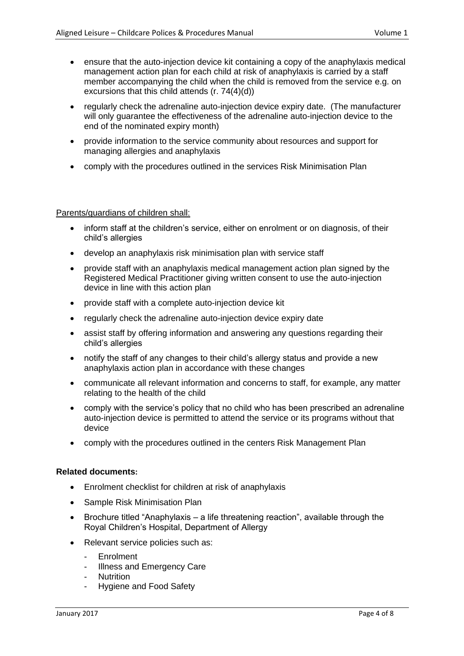- ensure that the auto-injection device kit containing a copy of the anaphylaxis medical management action plan for each child at risk of anaphylaxis is carried by a staff member accompanying the child when the child is removed from the service e.g. on excursions that this child attends (r. 74(4)(d))
- regularly check the adrenaline auto-injection device expiry date. (The manufacturer will only guarantee the effectiveness of the adrenaline auto-injection device to the end of the nominated expiry month)
- provide information to the service community about resources and support for managing allergies and anaphylaxis
- comply with the procedures outlined in the services Risk Minimisation Plan

### Parents/guardians of children shall:

- inform staff at the children's service, either on enrolment or on diagnosis, of their child's allergies
- develop an anaphylaxis risk minimisation plan with service staff
- provide staff with an anaphylaxis medical management action plan signed by the Registered Medical Practitioner giving written consent to use the auto-injection device in line with this action plan
- provide staff with a complete auto-injection device kit
- regularly check the adrenaline auto-injection device expiry date
- assist staff by offering information and answering any questions regarding their child's allergies
- notify the staff of any changes to their child's allergy status and provide a new anaphylaxis action plan in accordance with these changes
- communicate all relevant information and concerns to staff, for example, any matter relating to the health of the child
- comply with the service's policy that no child who has been prescribed an adrenaline auto-injection device is permitted to attend the service or its programs without that device
- comply with the procedures outlined in the centers Risk Management Plan

### **Related documents:**

- Enrolment checklist for children at risk of anaphylaxis
- Sample Risk Minimisation Plan
- Brochure titled "Anaphylaxis a life threatening reaction", available through the Royal Children's Hospital, Department of Allergy
- Relevant service policies such as:
	- **Enrolment**
	- Illness and Emergency Care
	- Nutrition
	- Hygiene and Food Safety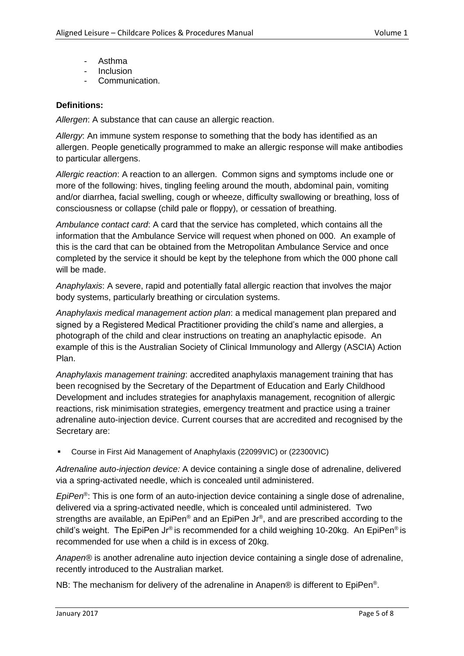- Asthma
- **Inclusion**
- Communication.

## **Definitions:**

*Allergen*: A substance that can cause an allergic reaction.

*Allergy*: An immune system response to something that the body has identified as an allergen. People genetically programmed to make an allergic response will make antibodies to particular allergens.

*Allergic reaction*: A reaction to an allergen. Common signs and symptoms include one or more of the following: hives, tingling feeling around the mouth, abdominal pain, vomiting and/or diarrhea, facial swelling, cough or wheeze, difficulty swallowing or breathing, loss of consciousness or collapse (child pale or floppy), or cessation of breathing.

*Ambulance contact card*: A card that the service has completed, which contains all the information that the Ambulance Service will request when phoned on 000. An example of this is the card that can be obtained from the Metropolitan Ambulance Service and once completed by the service it should be kept by the telephone from which the 000 phone call will be made.

*Anaphylaxis*: A severe, rapid and potentially fatal allergic reaction that involves the major body systems, particularly breathing or circulation systems.

*Anaphylaxis medical management action plan*: a medical management plan prepared and signed by a Registered Medical Practitioner providing the child's name and allergies, a photograph of the child and clear instructions on treating an anaphylactic episode. An example of this is the Australian Society of Clinical Immunology and Allergy (ASCIA) Action Plan.

*Anaphylaxis management training*: accredited anaphylaxis management training that has been recognised by the Secretary of the Department of Education and Early Childhood Development and includes strategies for anaphylaxis management, recognition of allergic reactions, risk minimisation strategies, emergency treatment and practice using a trainer adrenaline auto-injection device. Current courses that are accredited and recognised by the Secretary are:

▪ Course in First Aid Management of Anaphylaxis (22099VIC) or (22300VIC)

*Adrenaline auto-injection device:* A device containing a single dose of adrenaline, delivered via a spring-activated needle, which is concealed until administered.

*EpiPen*® : This is one form of an auto-injection device containing a single dose of adrenaline, delivered via a spring-activated needle, which is concealed until administered. Two strengths are available, an EpiPen® and an EpiPen Jr®, and are prescribed according to the child's weight. The EpiPen Jr® is recommended for a child weighing 10-20kg. An EpiPen<sup>®</sup> is recommended for use when a child is in excess of 20kg.

*Anapen®* is another adrenaline auto injection device containing a single dose of adrenaline, recently introduced to the Australian market.

NB: The mechanism for delivery of the adrenaline in Anapen® is different to EpiPen®.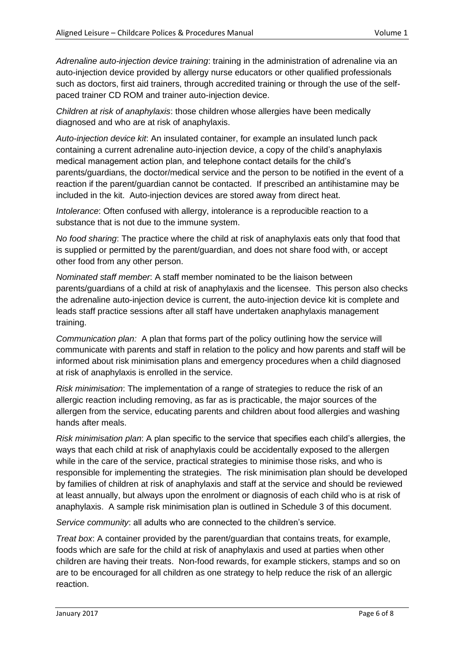*Adrenaline auto-injection device training*: training in the administration of adrenaline via an auto-injection device provided by allergy nurse educators or other qualified professionals such as doctors, first aid trainers, through accredited training or through the use of the selfpaced trainer CD ROM and trainer auto-injection device.

*Children at risk of anaphylaxis*: those children whose allergies have been medically diagnosed and who are at risk of anaphylaxis.

*Auto-injection device kit*: An insulated container, for example an insulated lunch pack containing a current adrenaline auto-injection device, a copy of the child's anaphylaxis medical management action plan, and telephone contact details for the child's parents/guardians, the doctor/medical service and the person to be notified in the event of a reaction if the parent/guardian cannot be contacted. If prescribed an antihistamine may be included in the kit. Auto-injection devices are stored away from direct heat.

*Intolerance*: Often confused with allergy, intolerance is a reproducible reaction to a substance that is not due to the immune system.

*No food sharing*: The practice where the child at risk of anaphylaxis eats only that food that is supplied or permitted by the parent/guardian, and does not share food with, or accept other food from any other person.

*Nominated staff member*: A staff member nominated to be the liaison between parents/guardians of a child at risk of anaphylaxis and the licensee. This person also checks the adrenaline auto-injection device is current, the auto-injection device kit is complete and leads staff practice sessions after all staff have undertaken anaphylaxis management training.

*Communication plan:* A plan that forms part of the policy outlining how the service will communicate with parents and staff in relation to the policy and how parents and staff will be informed about risk minimisation plans and emergency procedures when a child diagnosed at risk of anaphylaxis is enrolled in the service.

*Risk minimisation*: The implementation of a range of strategies to reduce the risk of an allergic reaction including removing, as far as is practicable, the major sources of the allergen from the service, educating parents and children about food allergies and washing hands after meals.

*Risk minimisation plan*: A plan specific to the service that specifies each child's allergies, the ways that each child at risk of anaphylaxis could be accidentally exposed to the allergen while in the care of the service, practical strategies to minimise those risks, and who is responsible for implementing the strategies. The risk minimisation plan should be developed by families of children at risk of anaphylaxis and staff at the service and should be reviewed at least annually, but always upon the enrolment or diagnosis of each child who is at risk of anaphylaxis. A sample risk minimisation plan is outlined in Schedule 3 of this document.

*Service community*: all adults who are connected to the children's service.

*Treat box*: A container provided by the parent/guardian that contains treats, for example, foods which are safe for the child at risk of anaphylaxis and used at parties when other children are having their treats. Non-food rewards, for example stickers, stamps and so on are to be encouraged for all children as one strategy to help reduce the risk of an allergic reaction.